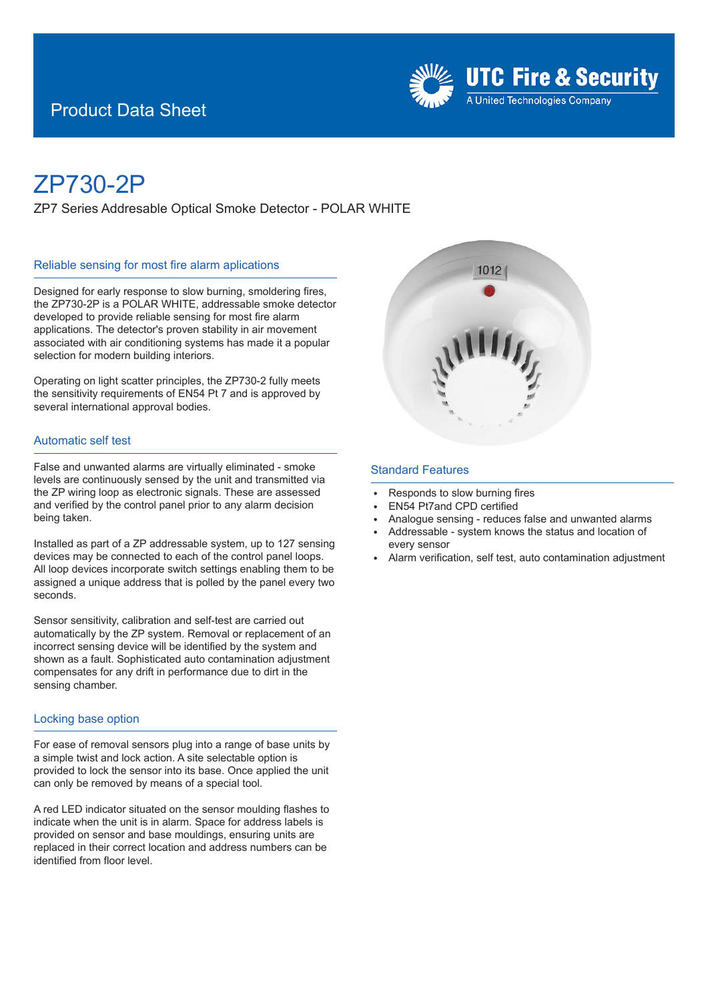## Product Data Sheet



# ZP730-2P

ZP7 Series Addresable Optical Smoke Detector - POLAR WHITE

#### Reliable sensing for most fire alarm aplications

Desianed for early response to slow burning, smoldering fires, the ZP730-2P is a POLAR WHITE, addressable smoke detector developed to provide reliable sensing for most fire alarm applications. The detector's proven stability in air movement associated with air conditioning systems has made it a popular selection for modern building interiors.

Operating on light scatter principles, the ZP730-2 fully meets the sensitivity requirements of EN54 Pt 7 and is approved by several international approval bodies.

#### Automatic self test

False and unwanted alarms are virtually eliminated - smoke levels are continuously sensed by the unit and transmitted via the ZP wiring loop as electronic signals. These are assessed and verified by the control panel prior to any alarm decision being taken.

Installed as part of a ZP addressable system, up to 127 sensing devices may be connected to each of the control panel loops. All loop devices incorporate switch settings enabling them to be assigned a unique address that is polled by the panel every two seconds.

Sensor sensitivity, calibration and self-test are carried out automatically by the ZP system. Removal or replacement of an incorrect sensing device will be identified by the system and shown as a fault. Sophisticated auto contamination adjustment compensates for any drift in performance due to dirt in the sensing chamber.

#### Locking base option

For ease of removal sensors plug into a range of base units by a simple twist and lock action. A site selectable option is provided to lock the sensor into its base. Once applied the unit can only be removed by means of a special tool.

A red LED indicator situated on the sensor moulding flashes to indicate when the unit is in alarm. Space for address labels is provided on sensor and base mouldings, ensuring units are replaced in their correct location and address numbers can be identified from floor level.



#### Standard Features

- <sup>E</sup> Responds to slow burning fires
- <sup>E</sup> EN54 Pt7and CPD certified
- Analogue sensing reduces false and unwanted alarms
- Addressable system knows the status and location of every sensor
- Alarm verification, self test, auto contamination adjustment